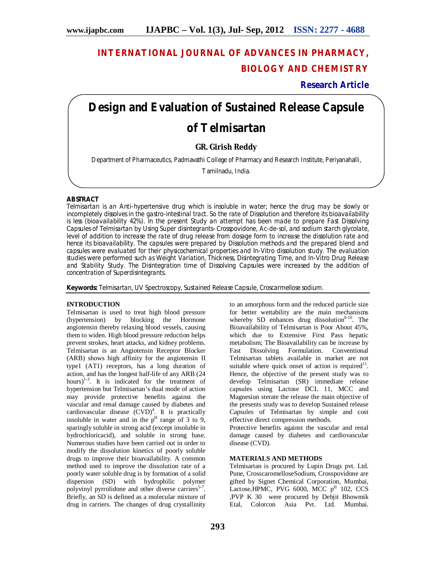# **INTERNATIONAL JOURNAL OF ADVANCES IN PHARMACY, BIOLOGY AND CHEMISTRY**

**Research Article**

# **Design and Evaluation of Sustained Release Capsule**

# **of Telmisartan**

# **GR. Girish Reddy**

Department of Pharmaceutics, Padmavathi College of Pharmacy and Research Institute, Periyanahalli,

Tamilnadu, India.

# **ABSTRACT**

Telmisartan is an Anti-hypertensive drug which is insoluble in water; hence the drug may be slowly or incompletely dissolves in the gastro-intestinal tract. So the rate of Dissolution and therefore its bioavailability is less (bioavailability 42%). In the present Study an attempt has been made to prepare Fast Dissolving Capsules of Telmisartan by Using Super disintegrants–Crosspovidone, Ac-de-sol, and sodium starch glycolate, level of addition to increase the rate of drug release from dosage form to increase the dissolution rate and hence its bioavailability. The capsules were prepared by Dissolution methods and the prepared blend and capsules were evaluated for their physicochemical properties and *In-Vitro* dissolution study. The evaluation studies were performed such as Weight Variation, Thickness, Disintegrating Time, and *In-Vitro* Drug Release and Stability Study. The Disintegration time of Dissolving Capsules were increased by the addition of concentration of Superdisintegrants.

**Keywords:** Telmisartan, UV Spectroscopy, Sustained Release Capsule, Croscarmellose sodium.

## **INTRODUCTION**

Telmisartan is used to treat high blood pressure (hypertension) by blocking the Hormone angiotensin thereby relaxing blood vessels, causing them to widen. High blood pressure reduction helps prevent strokes, heart attacks, and kidney problems. Telmisartan is an Angiotensin Receptor Blocker (ARB) shows high affinity for the angiotensin II type1 (AT1) receptors, has a long duration of action, and has the longest half-life of any ARB (24 hours) $1-3$ . It is indicated for the treatment of hypertension but Telmisartan's dual mode of action may provide protective benefits against the vascular and renal damage caused by diabetes and cardiovascular disease  $(CVD)^4$ . It is practically insoluble in water and in the  $p<sup>H</sup>$  range of 3 to 9, sparingly soluble in strong acid (except insoluble in hydrochloricacid), and soluble in strong base. Numerous studies have been carried out in order to modify the dissolution kinetics of poorly soluble drugs to improve their bioavailability. A common method used to improve the dissolution rate of a poorly water soluble drug is by formation of a solid dispersion (SD) with hydrophilic polymer polyvinyl pyrrolidone and other diverse carriers<sup>5-7</sup>. Briefly, an SD is defined as a molecular mixture of drug in carriers. The changes of drug crystallinity

to an amorphous form and the reduced particle size for better wettability are the main mechanisms whereby SD enhances drug dissolution<sup>8-10</sup>. The Bioavailability of Telmisartan is Poor About 45%, which due to Extensive First Pass hepatic metabolism; The Bioavailability can be increase by<br>Fast Dissolving Formulation. Conventional Formulation. Conventional Telmisartan tablets available in market are not suitable where quick onset of action is required<sup>11</sup>. Hence, the objective of the present study was to develop Telmisartan (SR) immediate release capsules using Lactose DCL 11, MCC and Magnesiun sterate the release the main objective of the presents study was to develop Sustained release Capsules of Telmisartan by simple and cost effective direct compression methods.

Protective benefits against the vascular and renal damage caused by diabetes and cardiovascular disease (CVD).

## **MATERIALS AND METHODS**

Telmisartan is procured by Lupin Drugs pvt. Ltd. Pune, CrosscaromelloseSodium, Crosspovidone are gifted by Signet Chemical Corporation, Mumbai, Lactose, HPMC, PVG 6000, MCC  $p^H$  102, CCS ,PVP K 30 were procured by Debjit Bhowmik Etal, Colorcon Asia Pvt. Ltd. Mumbai.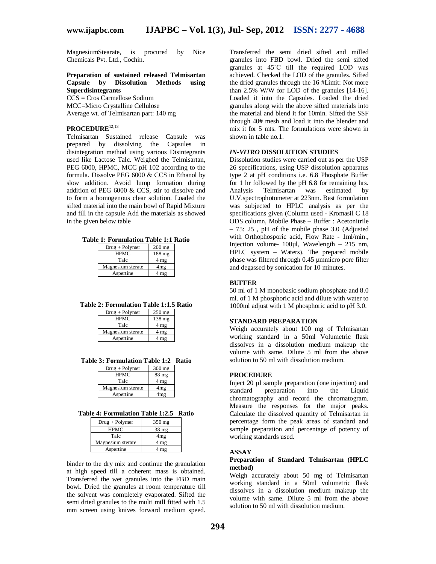MagnesiumStearate, is procured by Nice Chemicals Pvt. Ltd., Cochin.

#### **Preparation of sustained released Telmisartan Capsule by Dissolution Methods using Superdisintegrants**

CCS = Cros Carmellose Sodium MCC=Micro Crystalline Cellulose Average wt. of Telmisartan part: 140 mg

#### **PROCEDURE**12,13

Telmisartan Sustained release Capsule was prepared by dissolving the Capsules in disintegration method using various Disintegrants used like Lactose Talc. Weighed the Telmisartan, PEG 6000, HPMC, MCC pH 102 according to the formula. Dissolve PEG 6000 & CCS in Ethanol by slow addition. Avoid lump formation during addition of PEG 6000 & CCS, stir to dissolve and to form a homogenous clear solution. Loaded the sifted material into the main bowl of Rapid Mixture and fill in the capsule Add the materials as showed in the given below table

**Table 1: Formulation Table 1:1 Ratio**

| $Drug + Polymer$  | $200$ mg |
|-------------------|----------|
| <b>HPMC</b>       | 188 mg   |
| Talc              | 4 mg     |
| Magnesium sterate | 4mg      |
| Aspertine         | 4 mg     |

**Table 2: Formulation Table 1:1.5 Ratio**

| $Drug + Polymer$  | $250 \,\mathrm{mg}$ |
|-------------------|---------------------|
| <b>HPMC</b>       | 138 mg              |
| Talc              | 4 <sub>mg</sub>     |
| Magnesium sterate | 4 mg                |
| Aspertine         |                     |

**Table 3: Formulation Table 1:2 Ratio**

| $Drug + Polymer$  | $300$ mg        |
|-------------------|-----------------|
| <b>HPMC</b>       | 88 mg           |
| Talc              | 4 <sub>mg</sub> |
| Magnesium sterate | 4mg             |
| Aspertine         |                 |

**Table 4: Formulation Table 1:2.5 Ratio**

| $Drug + Polymer$  | $350 \text{ mg}$ |
|-------------------|------------------|
| <b>HPMC</b>       | $38$ mg          |
| Talc              | 4mg              |
| Magnesium sterate | 4 mg             |
| Aspertine         | mg               |

binder to the dry mix and continue the granulation at high speed till a coherent mass is obtained. Transferred the wet granules into the FBD main bowl. Dried the granules at room temperature till the solvent was completely evaporated. Sifted the semi dried granules to the multi mill fitted with 1.5 mm screen using knives forward medium speed.

Transferred the semi dried sifted and milled granules into FBD bowl. Dried the semi sifted granules at 45˚C till the required LOD was achieved. Checked the LOD of the granules. Sifted the dried granules through the 16 #Limit: Not more than 2.5% W/W for LOD of the granules [14-16]. Loaded it into the Capsules. Loaded the dried granules along with the above sifted materials into the material and blend it for 10min. Sifted the SSF through 40# mesh and load it into the blender and mix it for 5 mts. The formulations were shown in shown in table no.1.

#### *IN-VITRO* **DISSOLUTION STUDIES**

Dissolution studies were carried out as per the USP 26 specifications, using USP dissolution apparatus type 2 at pH conditions i.e. 6.8 Phosphate Buffer for 1 hr followed by the pH 6.8 for remaining hrs. Analysis Telmisartan was estimated by U.V.spectrophotometer at 223nm. Best formulation was subjected to HPLC analysis as per the specifications given (Column used - Kromasil C 18 ODS column, Mobile Phase – Buffer : Acetonitrile – 75: 25 , pH of the mobile phase 3.0 (Adjusted with Orthophosporic acid, Flow Rate - 1ml/min., Injection volume- 100µl, Wavelength – 215 nm, HPLC system – Waters). The prepared mobile phase was filtered through 0.45 µmmicro pore filter and degassed by sonication for 10 minutes.

#### **BUFFER**

50 ml of 1 M monobasic sodium phosphate and 8.0 ml. of 1 M phosphoric acid and dilute with water to 1000ml adjust with 1 M phosphoric acid to pH 3.0.

#### **STANDARD PREPARATION**

Weigh accurately about 100 mg of Telmisartan working standard in a 50ml Volumetric flask dissolves in a dissolution medium makeup the volume with same. Dilute 5 ml from the above solution to 50 ml with dissolution medium.

#### **PROCEDURE**

Inject 20 µl sample preparation (one injection) and<br>standard preparation into the Liquid standard preparation into the Liquid chromatography and record the chromatogram. Measure the responses for the major peaks. Calculate the dissolved quantity of Telmisartan in percentage form the peak areas of standard and sample preparation and percentage of potency of working standards used.

#### **ASSAY**

#### **Preparation of Standard Telmisartan (HPLC method)**

Weigh accurately about 50 mg of Telmisartan working standard in a 50ml volumetric flask dissolves in a dissolution medium makeup the volume with same. Dilute 5 ml from the above solution to 50 ml with dissolution medium.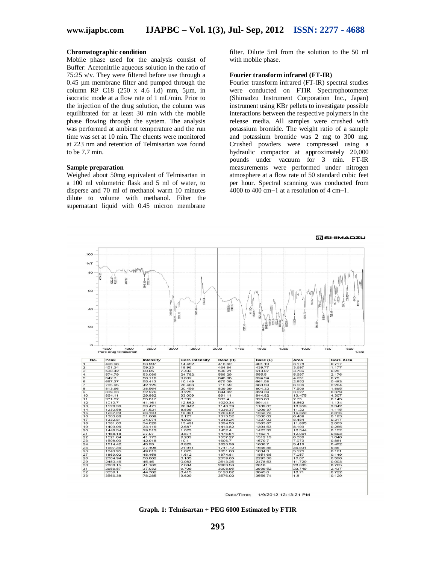#### **Chromatographic condition**

Mobile phase used for the analysis consist of Buffer: Acetonitrile aqueous solution in the ratio of 75:25 v/v. They were filtered before use through a 0.45 µm membrane filter and pumped through the column RP C18 (250 x 4.6 i.d) mm, 5µm, in isocratic mode at a flow rate of 1 mL/min. Prior to the injection of the drug solution, the column was equilibrated for at least 30 min with the mobile phase flowing through the system. The analysis was performed at ambient temperature and the run time was set at 10 min. The eluents were monitored at 223 nm and retention of Telmisartan was found to be 7.7 min.

#### **Sample preparation**

Weighed about 50mg equivalent of Telmisartan in a 100 ml volumetric flask and 5 ml of water, to disperse and 70 ml of methanol warm 10 minutes dilute to volume with methanol. Filter the supernatant liquid with 0.45 micron membrane

filter. Dilute 5ml from the solution to the 50 ml with mobile phase.

#### **Fourier transform infrared (FT-IR)**

Fourier transform infrared (FT-IR) spectral studies were conducted on FTIR Spectrophotometer (Shimadzu Instrument Corporation Inc., Japan) instrument using KBr pellets to investigate possible interactions between the respective polymers in the release media. All samples were crushed with potassium bromide. The weight ratio of a sample and potassium bromide was 2 mg to 300 mg. Crushed powders were compressed using a hydraulic compactor at approximately 20,000 pounds under vacuum for 3 min. FT-IR measurements were performed under nitrogen atmosphere at a flow rate of 50 standard cubic feet per hour. Spectral scanning was conducted from 4000 to 400 cm−1 at a resolution of 4 cm−1.



Date/Time; 1/9/2012 12:13:21 PM

**Graph. 1: Telmisartan + PEG 6000 Estimated by FTIR**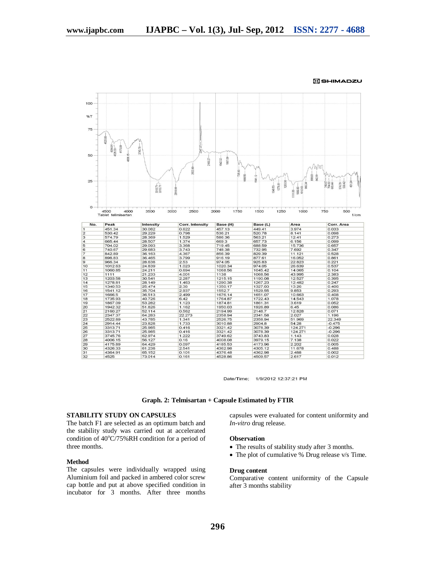

SHIMADZU

Date/Time: 1/9/2012 12:37:21 PM

**Graph. 2: Telmisartan + Capsule Estimated by FTIR**

#### **STABILITY STUDY ON CAPSULES**

The batch F1 are selected as an optimum batch and the stability study was carried out at accelerated condition of  $40^{\circ}$ C/75%RH condition for a period of three months.

#### **Method**

The capsules were individually wrapped using Aluminium foil and packed in ambered color screw cap bottle and put at above specified condition in incubator for 3 months. After three months capsules were evaluated for content uniformity and *In-vitro* drug release.

#### **Observation**

- The results of stability study after 3 months.
- The plot of cumulative % Drug release v/s Time.

#### **Drug content**

Comparative content uniformity of the Capsule after 3 months stability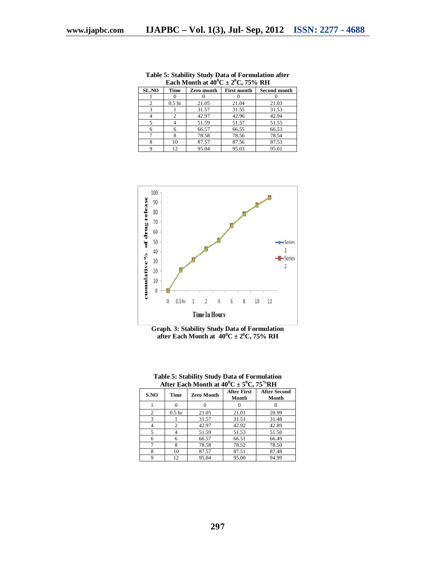| SL.NO          | Time              | Zero month | <b>First month</b> | <b>Second month</b> |
|----------------|-------------------|------------|--------------------|---------------------|
|                |                   |            |                    |                     |
| $\overline{c}$ | 0.5 <sub>hr</sub> | 21.05      | 21.04              | 21.03               |
| 3              |                   | 31.57      | 31.55              | 31.53               |
|                |                   | 42.97      | 42.96              | 42.94               |
|                |                   | 51.59      | 51.57              | 51.55               |
| 6              |                   | 66.57      | 66.55              | 66.53               |
|                |                   | 78.58      | 78.56              | 78.54               |
| 8              | 10                | 87.57      | 87.56              | 87.53               |
|                | 12.               | 95.04      | 95.03              | 95.01               |

**Table 5: Stability Study Data of Formulation after Each Month at**  $40^{\circ}C \pm 2^{\circ}C$ **, 75% RH** 



**Graph. 3: Stability Study Data of Formulation after Each Month at**  $40^{\circ}$ **C**  $\pm$  2<sup>o</sup>C, 75% RH

|      | After Each Month at 40 C $\pm$ 5 C, 75 KH |                   |                             |                              |
|------|-------------------------------------------|-------------------|-----------------------------|------------------------------|
| S.NO | Time                                      | <b>Zero Month</b> | <b>After First</b><br>Month | <b>After Second</b><br>Month |
|      |                                           |                   |                             |                              |
| 2    | 0.5 <sub>hr</sub>                         | 21.05             | 21.01                       | 20.99                        |
| 3    |                                           | 31.57             | 31.51                       | 31.48                        |
|      | $\overline{c}$                            | 42.97             | 42.92                       | 42.89                        |
| 5    | 4                                         | 51.59             | 51.53                       | 51.50                        |
| 6    | 6                                         | 66.57             | 66.51                       | 66.49                        |
|      | 8                                         | 78.58             | 78.52                       | 78.50                        |
| 8    | 10                                        | 87.57             | 87.51                       | 87.48                        |
| O    | 12                                        | 95.04             | 95.00                       | 94.99                        |

**Table 5: Stability Study Data of Formulation After Each Month at**  $40^{\circ}$ **C**  $\pm$  **5<sup>o</sup>C, 75<sup>** $\%$ **</sup>RH**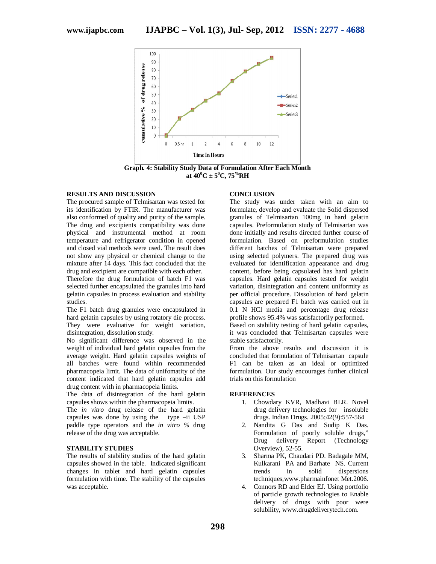

**Graph. 4: Stability Study Data of Formulation After Each Month at 40<sup>0</sup>C ± 5<sup>0</sup>C, 75<sup>%</sup>RH** 

#### **RESULTS AND DISCUSSION**

The procured sample of Telmisartan was tested for its identification by FTIR. The manufacturer was also conformed of quality and purity of the sample. The drug and excipients compatibility was done physical and instrumental method at room temperature and refrigerator condition in opened and closed vial methods were used. The result does not show any physical or chemical change to the mixture after 14 days. This fact concluded that the drug and excipient are compatible with each other.

Therefore the drug formulation of batch F1 was selected further encapsulated the granules into hard gelatin capsules in process evaluation and stability studies.

The F1 batch drug granules were encapsulated in hard gelatin capsules by using rotatory die process. They were evaluative for weight variation, disintegration, dissolution study.

No significant difference was observed in the weight of individual hard gelatin capsules from the average weight. Hard gelatin capsules weights of all batches were found within recommended pharmacopeia limit. The data of unifomatity of the content indicated that hard gelatin capsules add drug content with in pharmacopeia limits.

The data of disintegration of the hard gelatin capsules shows within the pharmacopeia limits.

The *in vitro* drug release of the hard gelatin capsules was done by using the type –ii USP paddle type operators and the *in vitro %* drug release of the drug was acceptable.

## **STABILITY STUDIES**

The results of stability studies of the hard gelatin capsules showed in the table. Indicated significant changes in tablet and hard gelatin capsules formulation with time. The stability of the capsules was acceptable.

#### **CONCLUSION**

The study was under taken with an aim to formulate, develop and evaluate the Solid dispersed granules of Telmisartan 100mg in hard gelatin capsules. Preformulation study of Telmisartan was done initially and results directed further course of formulation. Based on preformulation studies different batches of Telmisartan were prepared using selected polymers. The prepared drug was evaluated for identification appearance and drug content, before being capsulated has hard gelatin capsules. Hard gelatin capsules tested for weight variation, disintegration and content uniformity as per official procedure. Dissolution of hard gelatin capsules are prepared F1 batch was carried out in 0.1 N HCl media and percentage drug release profile shows 95.4% was satisfactorily performed. Based on stability testing of hard gelatin capsules,

it was concluded that Telmisartan capsules were stable satisfactorily.

From the above results and discussion it is concluded that formulation of Telmisartan capsule F1 can be taken as an ideal or optimized formulation. Our study encourages further clinical trials on this formulation

#### **REFERENCES**

- 1. Chowdary KVR, Madhavi BLR. Novel drug delivery technologies for insoluble drugs. Indian Drugs. 2005;42(9):557-564
- 2. Nandita G Das and Sudip K Das. Formulation of poorly soluble drugs," Drug delivery Report (Technology Overview), 52-55.
- 3. Sharma PK, Chaudari PD. Badagale MM, Kulkarani PA and Barhate NS. Current trends in solid dispersions techniques,www.pharmainfonet Met.2006.
- 4. Connors RD and Elder EJ. Using portfolio of particle growth technologies to Enable delivery of drugs with poor were solubility, www.drugdeliverytech.com.